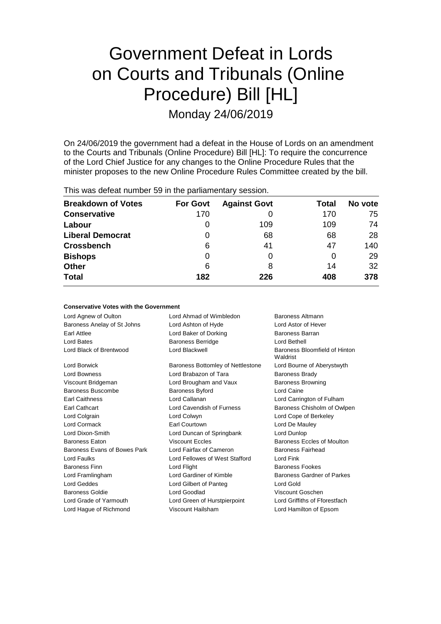# Government Defeat in Lords on Courts and Tribunals (Online Procedure) Bill [HL]

Monday 24/06/2019

On 24/06/2019 the government had a defeat in the House of Lords on an amendment to the Courts and Tribunals (Online Procedure) Bill [HL]: To require the concurrence of the Lord Chief Justice for any changes to the Online Procedure Rules that the minister proposes to the new Online Procedure Rules Committee created by the bill.

This was defeat number 59 in the parliamentary session.

| <b>Breakdown of Votes</b> | <b>For Govt</b> | <b>Against Govt</b> | Total | No vote |
|---------------------------|-----------------|---------------------|-------|---------|
| <b>Conservative</b>       | 170             |                     | 170   | 75      |
| Labour                    | O               | 109                 | 109   | 74      |
| <b>Liberal Democrat</b>   | 0               | 68                  | 68    | 28      |
| <b>Crossbench</b>         | 6               | 41                  | 47    | 140     |
| <b>Bishops</b>            | 0               | O                   |       | 29      |
| <b>Other</b>              | 6               | 8                   | 14    | 32      |
| <b>Total</b>              | 182             | 226                 | 408   | 378     |

### **Conservative Votes with the Government**

| Lord Agnew of Oulton         | Lord Ahmad of Wimbledon           | Baroness Altmann                          |
|------------------------------|-----------------------------------|-------------------------------------------|
| Baroness Anelay of St Johns  | Lord Ashton of Hyde               | Lord Astor of Hever                       |
| Earl Attlee                  | Lord Baker of Dorking             | Baroness Barran                           |
| <b>Lord Bates</b>            | <b>Baroness Berridge</b>          | Lord Bethell                              |
| Lord Black of Brentwood      | Lord Blackwell                    | Baroness Bloomfield of Hinton<br>Waldrist |
| Lord Borwick                 | Baroness Bottomley of Nettlestone | Lord Bourne of Aberystwyth                |
| Lord Bowness                 | Lord Brabazon of Tara             | <b>Baroness Brady</b>                     |
| Viscount Bridgeman           | Lord Brougham and Vaux            | <b>Baroness Browning</b>                  |
| Baroness Buscombe            | <b>Baroness Byford</b>            | Lord Caine                                |
| <b>Earl Caithness</b>        | Lord Callanan                     | Lord Carrington of Fulham                 |
| <b>Earl Cathcart</b>         | Lord Cavendish of Furness         | Baroness Chisholm of Owlpen               |
| Lord Colgrain                | Lord Colwyn                       | Lord Cope of Berkeley                     |
| Lord Cormack                 | Earl Courtown                     | Lord De Mauley                            |
| Lord Dixon-Smith             | Lord Duncan of Springbank         | Lord Dunlop                               |
| <b>Baroness Eaton</b>        | <b>Viscount Eccles</b>            | Baroness Eccles of Moulton                |
| Baroness Evans of Bowes Park | Lord Fairfax of Cameron           | Baroness Fairhead                         |
| Lord Faulks                  | Lord Fellowes of West Stafford    | Lord Fink                                 |
| <b>Baroness Finn</b>         | Lord Flight                       | <b>Baroness Fookes</b>                    |
| Lord Framlingham             | Lord Gardiner of Kimble           | Baroness Gardner of Parkes                |
| Lord Geddes                  | Lord Gilbert of Panteg            | Lord Gold                                 |
| Baroness Goldie              | Lord Goodlad                      | Viscount Goschen                          |
| Lord Grade of Yarmouth       | Lord Green of Hurstpierpoint      | Lord Griffiths of Fforestfach             |
| Lord Hague of Richmond       | Viscount Hailsham                 | Lord Hamilton of Epsom                    |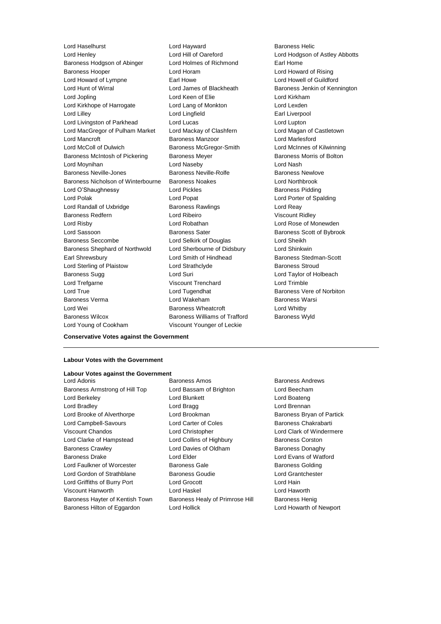Lord Haselhurst Lord Hayward Baroness Helic Lord Henley **Lord Hill of Oareford** Lord Hodgson of Astley Abbotts Baroness Hodgson of Abinger Lord Holmes of Richmond Earl Home Baroness Hooper Lord Horam Lord Howard of Rising Lord Howard of Lympne **Earl Howe** Earl Howe Lord Howell of Guildford Lord Hunt of Wirral Lord James of Blackheath Baroness Jenkin of Kennington Lord Jopling **Lord Communist Lord Keen of Elie** Lord Kirkham Lord Kirkhope of Harrogate Lord Lang of Monkton Lord Lexden Lord Lilley Lord Lingfield Earl Liverpool Lord Livingston of Parkhead Lord Lucas Lord Lupton Lord MacGregor of Pulham Market Lord Mackay of Clashfern Lord Magan of Castletown Lord Mancroft **Baroness Manzoor Baroness Manzoor** Lord Marlesford Lord McColl of Dulwich Baroness McGregor-Smith Lord McInnes of Kilwinning Baroness McIntosh of Pickering Baroness Meyer Baroness Mexicos Baroness Morris of Bolton Lord Moynihan Lord Naseby Lord Nash Baroness Neville-Jones **Baroness Neville-Rolfe** Baroness Newlove Baroness Nicholson of Winterbourne Baroness Noakes Lord Northbrook Lord O'Shaughnessy **Lord Pickles Example 2** Lord Pickles **Baroness Pidding** Lord Polak Lord Popat Lord Porter of Spalding Lord Randall of Uxbridge **Baroness Rawlings Lord Reay** Baroness Redfern **Lord Ribeiro** Communication Viscount Ridley Lord Risby Lord Robathan Lord Rose of Monewden Lord Sassoon **Baroness Sater** Baroness Sater Baroness Scott of Bybrook Baroness Seccombe Lord Selkirk of Douglas Lord Sheikh Baroness Shephard of Northwold Lord Sherbourne of Didsbury Lord Shinkwin Earl Shrewsbury Lord Smith of Hindhead Baroness Stedman-Scott Lord Sterling of Plaistow **Lord Strathclyde** Baroness Stroud Baroness Sugg **Lord Suri Lord Suri Lord Taylor of Holbeach** Lord Trefgarne Viscount Trenchard Lord Trimble Lord True **Lord Tugendhat** Baroness Vere of Norbiton Baroness Verma Lord Wakeham Baroness Warsi Lord Wei **Baroness Wheatcroft** Lord Whitby Baroness Wilcox **Baroness Williams of Trafford** Baroness Wyld

Lord Young of Cookham Viscount Younger of Leckie

**Conservative Votes against the Government**

### **Labour Votes with the Government**

#### **Labour Votes against the Government**

Baroness Armstrong of Hill Top Lord Bassam of Brighton Lord Beecham Lord Berkeley **Lord Blunkett** Lord Boateng Lord Boateng Lord Bradley **Lord Bragg Lord Brennan** Lord Brooke of Alverthorpe Lord Brookman **Baroness Bryan of Partick** Lord Campbell-Savours Lord Carter of Coles Baroness Chakrabarti Viscount Chandos Lord Christopher Lord Clark of Windermere Lord Clarke of Hampstead Lord Collins of Highbury Baroness Corston Baroness Crawley **Lord Davies of Oldham** Baroness Donaghy Baroness Drake Lord Elder Lord Evans of Watford Lord Faulkner of Worcester **Baroness Gale** Baroness Golding Lord Gordon of Strathblane Baroness Goudie Lord Grantchester Lord Griffiths of Burry Port Lord Grocott Lord Hain Viscount Hanworth Lord Haskel Lord Haworth Baroness Hayter of Kentish Town Baroness Healy of Primrose Hill Baroness Henig Baroness Hilton of Eggardon Lord Hollick Lord Howarth of Newport

**Lord Adonis Baroness Amos Baroness Amos Baroness Andrews**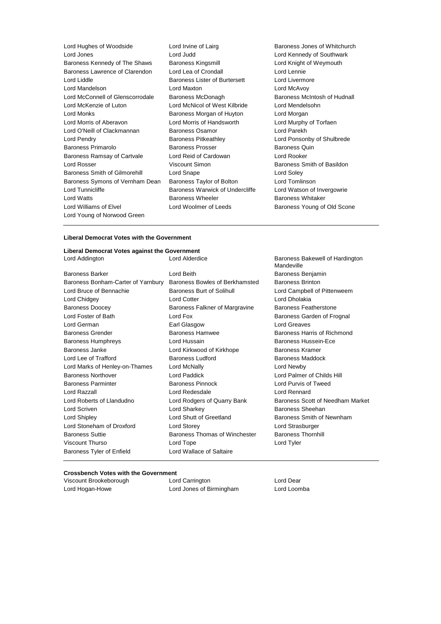| Lord Hughes of Woodside          | Lord Irvine of Lairg          |
|----------------------------------|-------------------------------|
| Lord Jones                       | Lord Judd                     |
| Baroness Kennedy of The Shaws    | <b>Baroness Kingsmill</b>     |
| Baroness Lawrence of Clarendon   | Lord Lea of Crondall          |
| Lord Liddle                      | Baroness Lister of Burtersett |
| Lord Mandelson                   | Lord Maxton                   |
| Lord McConnell of Glenscorrodale | Baroness McDonagh             |
| Lord McKenzie of Luton           | Lord McNicol of West Kilbride |
| Lord Monks                       | Baroness Morgan of Huyton     |
| Lord Morris of Aberavon          | Lord Morris of Handsworth     |
| Lord O'Neill of Clackmannan      | <b>Baroness Osamor</b>        |
| Lord Pendry                      | <b>Baroness Pitkeathley</b>   |
| Baroness Primarolo               | <b>Baroness Prosser</b>       |
| Baroness Ramsay of Cartvale      | Lord Reid of Cardowan         |
| Lord Rosser                      | Viscount Simon                |
| Baroness Smith of Gilmorehill    | Lord Snape                    |
| Baroness Symons of Vernham Dean  | Baroness Taylor of Bolton     |
| Lord Tunnicliffe                 | Baroness Warwick of Underc    |
| <b>Lord Watts</b>                | <b>Baroness Wheeler</b>       |
| Lord Williams of Elvel           | Lord Woolmer of Leeds         |
| Lord Young of Norwood Green      |                               |
|                                  |                               |

Baroness Jones of Whitchurch Lord Kennedy of Southwark Lord Knight of Weymouth Lord Lennie Lord Livermore Lord McAvoy Baroness McIntosh of Hudnall Lord Mendelsohn Lord Morgan Lord Murphy of Torfaen Lord Parekh Lord Ponsonby of Shulbrede Baroness Quin Lord Rooker Baroness Smith of Basildon Lord Soley Lord Tomlinson liffe Lord Watson of Invergowrie Baroness Whitaker Baroness Young of Old Scone

### **Liberal Democrat Votes with the Government**

## **Liberal Democrat Votes against the Government**

Baroness Barker Lord Beith Baroness Benjamin Baroness Bonham-Carter of Yarnbury Baroness Bowles of Berkhamsted Baroness Brinton Lord Bruce of Bennachie **Baroness Burt of Solihull** Lord Campbell of Pittenweem Lord Chidgey **Lord Cotter Lord Cotter** Lord Cotter **Lord Chidgey** Baroness Doocey **Baroness Falkner of Margravine** Baroness Featherstone Lord Foster of Bath **Lord Fox** Lord Fox **Baroness Garden of Frognal** Lord German **Earl Glasgow** Earl Glasgow **Lord Greaves** Baroness Grender **Baroness Hamwee** Baroness Hamwee **Baroness Hammed Baroness Hammed Baroness** Hammed Baroness Hammed Baroness Hammed Baroness Hammed Baroness Hammed Baroness Hammed Baroness Hammed Baroness Hammed Baroness Baroness Humphreys Lord Hussain Baroness Hussein-Ece Baroness Janke **Lord Kirkwood of Kirkhope** Baroness Kramer Lord Lee of Trafford **Baroness Ludford** Baroness Maddock Lord Marks of Henley-on-Thames Lord McNally Lord Newby Baroness Northover Lord Paddick Lord Palmer of Childs Hill Baroness Parminter Baroness Pinnock Lord Purvis of Tweed Lord Razzall Lord Redesdale Lord Rennard Lord Roberts of Llandudno **Lord Rodgers of Quarry Bank** Baroness Scott of Needham Market Lord Scriven **Lord Sharkey Lord Sharkey Baroness Sheehan** Lord Shipley Lord Shutt of Greetland Baroness Smith of Newnham Lord Stoneham of Droxford Lord Storey Lord Strasburger Baroness Suttie Baroness Thomas of Winchester Baroness Thornhill Viscount Thurso Lord Tope Lord Tyler Baroness Tyler of Enfield Lord Wallace of Saltaire

Baroness Bakewell of Hardington Mandeville

### **Crossbench Votes with the Government**

| Viscount Brookeborough | Lord Carrington          | Lord Dear   |
|------------------------|--------------------------|-------------|
| Lord Hogan-Howe        | Lord Jones of Birmingham | Lord Loomba |